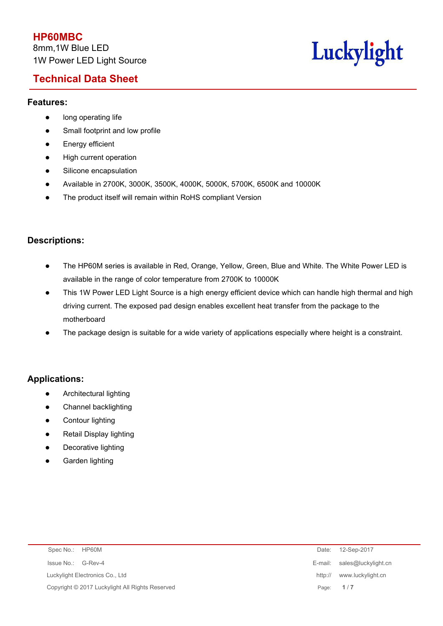# **Technical Data Sheet**

# Luckylight

## **Features:**

- **•** long operating life
- Small footprint and low profile
- **Energy efficient**
- High current operation
- Silicone encapsulation
- Available in 2700K, 3000K, 3500K, 4000K, 5000K, 5700K, 6500K and 10000K
- The product itself will remain within RoHS compliant Version

## **Descriptions:**

- The HP60M series is available in Red, Orange, Yellow, Green, Blue and White. The White Power LED is available in the range of color temperature from 2700K to 10000K
- This 1W Power LED Light Source is a high energy efficient device which can handle high thermal and high driving current. The exposed pad design enables excellent heat transfer from the package to the motherboard
- The package design is suitable for a wide variety of applications especially where height is a constraint.

## **Applications:**

- Architectural lighting
- Channel backlighting
- **•** Contour lighting
- Retail Display lighting
- Decorative lighting
- Garden lighting

| Spec No.: HP60M                                 | Date:   | 12-Sep-2017                 |
|-------------------------------------------------|---------|-----------------------------|
| Issue No.: G-Rev-4                              |         | E-mail: sales@luckylight.cn |
| Luckylight Electronics Co., Ltd                 | http:// | www.luckylight.cn           |
| Copyright © 2017 Luckylight All Rights Reserved |         | Page: 1/7                   |
|                                                 |         |                             |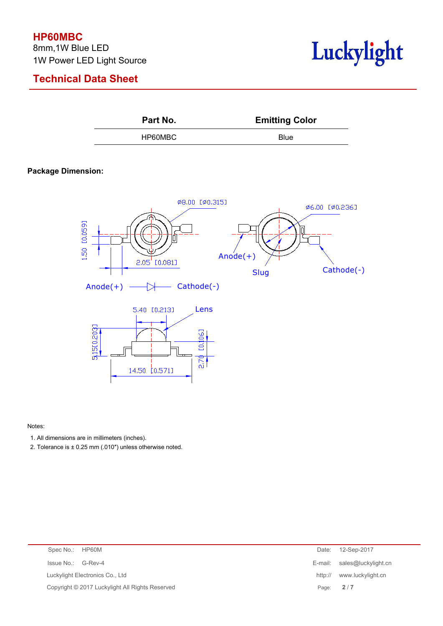## **HP60MBC**

8mm,1W Blue LED 1W Power LED Light Source

# **Technical Data Sheet**



**Part No. Emitting Color** HP60MBC Blue

### **Package Dimension:**



#### Notes:

- 1. All dimensions are in millimeters (inches).
- 2. Tolerance is ± 0.25 mm (.010") unless otherwise noted.

| Spec No.: HP60M                                 |           | Date: 12-Sep-2017           |
|-------------------------------------------------|-----------|-----------------------------|
| Issue No.:<br>G-Rev-4                           |           | E-mail: sales@luckylight.cn |
| Luckylight Electronics Co., Ltd                 |           | http:// www.luckylight.cn   |
| Copyright © 2017 Luckylight All Rights Reserved | Page: 2/7 |                             |
|                                                 |           |                             |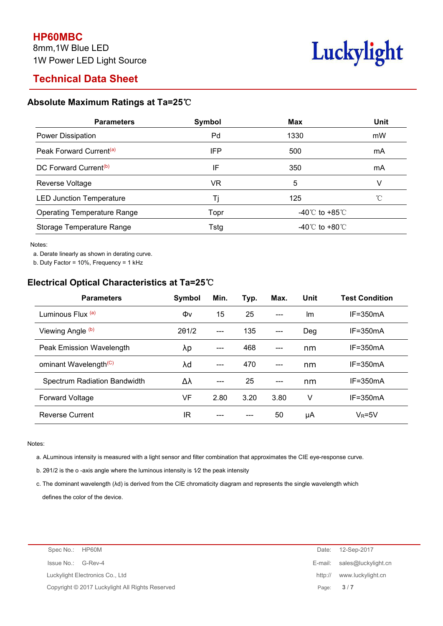

# **Technical Data Sheet**

## **Absolute Maximum Ratings at Ta=25**℃

| <b>Parameters</b>                   | Symbol | <b>Max</b>                         | <b>Unit</b> |
|-------------------------------------|--------|------------------------------------|-------------|
| Power Dissipation                   | Pd     | 1330                               | mW          |
| Peak Forward Current <sup>(a)</sup> | IFP    | 500                                | mA          |
| DC Forward Current <sup>(b)</sup>   | IF     | 350                                | mA          |
| Reverse Voltage                     | VR     | 5                                  |             |
| <b>LED Junction Temperature</b>     |        | 125                                |             |
| <b>Operating Temperature Range</b>  | Topr   | -40 $\degree$ C to +85 $\degree$ C |             |
| Storage Temperature Range           | Tstg   | -40 $\degree$ C to +80 $\degree$ C |             |

Notes:

a. Derate linearly as shown in derating curve.

b. Duty Factor = 10%, Frequency = 1 kHz

## **Electrical Optical Characteristics at Ta=25**℃

| <b>Parameters</b>                 | Symbol | Min.                   | Typ. | Max.  | Unit | <b>Test Condition</b> |
|-----------------------------------|--------|------------------------|------|-------|------|-----------------------|
| Luminous Flux (a)                 | Φv     | 15                     | 25   | $---$ | Im   | $IF = 350mA$          |
| Viewing Angle (b)                 | 201/2  | $---$                  | 135  | $---$ | Deg  | $IF = 350mA$          |
| Peak Emission Wavelength          | λp     | $\qquad \qquad \cdots$ | 468  | $---$ | nm   | $IF = 350mA$          |
| ominant Wavelength <sup>(C)</sup> | λd     | $---$                  | 470  | $---$ | nm   | $IF = 350mA$          |
| Spectrum Radiation Bandwidth      | Δλ     | $---$                  | 25   | $---$ | nm   | $IF = 350mA$          |
| <b>Forward Voltage</b>            | VF     | 2.80                   | 3.20 | 3.80  | ٧    | $IF = 350mA$          |
| <b>Reverse Current</b>            | IR     | ---                    | ---  | 50    | μA   | $V_R = 5V$            |

#### Notes:

a. ALuminous intensity is measured with a light sensor and filter combination that approximates the CIE eye-response curve.

b. 201/2 is the o -axis angle where the luminous intensity is 1/2 the peak intensity

c. The dominant wavelength (λd) is derived from the CIE chromaticity diagram and represents the single wavelength which defines the color of the device.

| Spec No.: HP60M                                 | 12-Sep-2017<br>Date:         |
|-------------------------------------------------|------------------------------|
| Issue No.: G-Rev-4                              | E-mail: sales@luckylight.cn  |
| Luckylight Electronics Co., Ltd                 | www.luckylight.cn<br>http:// |
| Copyright © 2017 Luckylight All Rights Reserved | 3/7<br>Page:                 |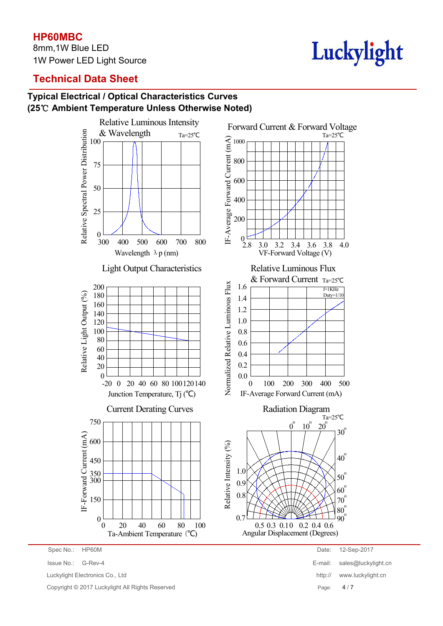## **HP60MBC**

8mm,1W Blue LED 1W Power LED Light Source



# **Technical Data Sheet**

## **Typical Electrical / Optical Characteristics Curves (25**℃ **Ambient Temperature Unless Otherwise Noted)**



Luckylight Electronics Co., Ltd http:// www.luckylight.cn

Copyright © 2017 Luckylight All Rights Reserved Page: **4** / **7**

Spec No.: HP60M Date: 12-Sep-2017 Issue No.: G-Rev-4 E-mail: sales@luckylight.cn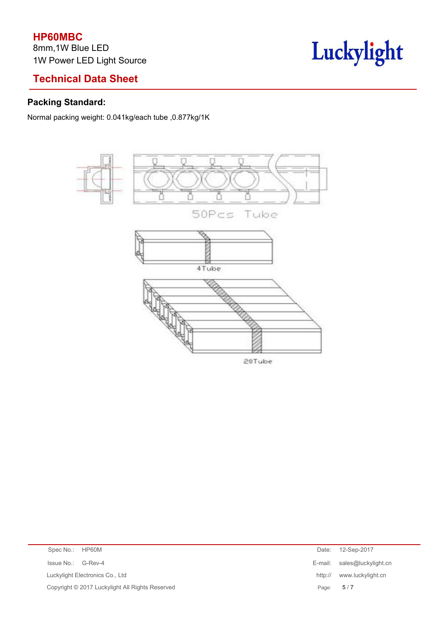# **Technical Data Sheet**

# **Packing Standard:**

Normal packing weight: 0.041kg/each tube ,0.877kg/1K



Luckylight

| Issue No.: G-Rev-4<br>E-mail: sales@luckylight.cn<br>Luckylight Electronics Co., Ltd<br>www.luckylight.cn<br>http://<br>Copyright © 2017 Luckylight All Rights Reserved<br>5/7<br>Page: | Spec No.: HP60M | Date: | 12-Sep-2017 |
|-----------------------------------------------------------------------------------------------------------------------------------------------------------------------------------------|-----------------|-------|-------------|
|                                                                                                                                                                                         |                 |       |             |
|                                                                                                                                                                                         |                 |       |             |
|                                                                                                                                                                                         |                 |       |             |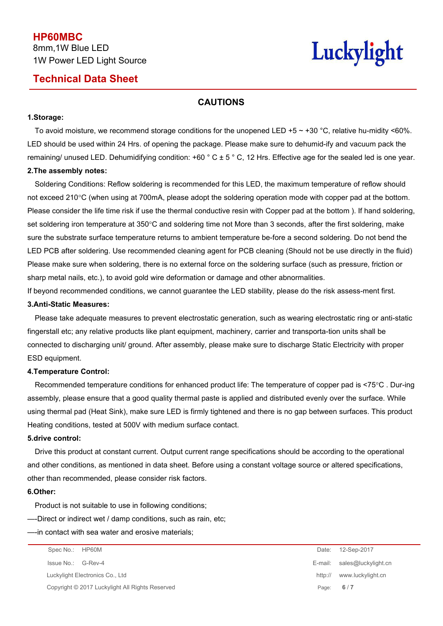## **Technical Data Sheet**

# Luckylight

## **CAUTIONS**

#### **1.Storage:**

To avoid moisture, we recommend storage conditions for the unopened LED +5  $\sim$  +30 °C, relative hu-midity <60%. LED should be used within 24 Hrs. of opening the package. Please make sure to dehumid-ify and vacuum pack the remaining/ unused LED. Dehumidifying condition:  $+60$   $^{\circ}$  C  $\pm$  5  $^{\circ}$  C, 12 Hrs. Effective age for the sealed led is one year. **2.The assembly notes:**

Soldering Conditions: Reflow soldering is recommended for this LED, the maximum temperature of reflow should not exceed 210°C (when using at 700mA, please adopt the soldering operation mode with copper pad at the bottom. Please consider the life time risk if use the thermal conductive resin with Copper pad at the bottom ). If hand soldering, set soldering iron temperature at 350°C and soldering time not More than 3 seconds, after the first soldering, make sure the substrate surface temperature returns to ambient temperature be-fore a second soldering. Do not bend the LED PCB after soldering. Use recommended cleaning agent for PCB cleaning (Should not be use directly in the fluid) Please make sure when soldering, there is no external force on the soldering surface (such as pressure, friction or sharp metal nails, etc.), to avoid gold wire deformation or damage and other abnormalities.

If beyond recommended conditions, we cannot guarantee the LED stability, please do the risk assess-ment first.

#### **3.Anti-Static Measures:**

Please take adequate measures to prevent electrostatic generation, such as wearing electrostatic ring oranti-static fingerstall etc; any relative products like plant equipment, machinery, carrier and transporta-tion units shall be connected to discharging unit/ ground. After assembly, please make sure to discharge Static Electricity with proper ESD equipment.

#### **4.Temperature Control:**

Recommended temperature conditions for enhanced product life: The temperature of copper pad is<75°C . Dur-ing assembly, please ensure that a good quality thermal paste is applied and distributed evenly over the surface. While using thermal pad (Heat Sink), make sure LED is firmly tightened and there isno gap between surfaces. This product Heating conditions, tested at 500V with medium surface contact.

#### **5.drive control:**

Drive this product at constant current. Output current range specifications should be according to the operational and other conditions, as mentioned in data sheet. Before using a constant voltage source or altered specifications, other than recommended, please consider risk factors.

#### **6.Other:**

Product is not suitable to use in following conditions;

—-Direct or indirect wet / damp conditions, such as rain, etc;

—-in contact with sea water and erosive materials;

Spec No.: HP60M Date: 12-Sep-2017 Issue No.: G-Rev-4 E-mail: sales@luckylight.cn Luckylight Electronics Co., Ltd **http:// www.luckylight.cn** Copyright © 2017 Luckylight All Rights Reserved Page: **6** / **7**